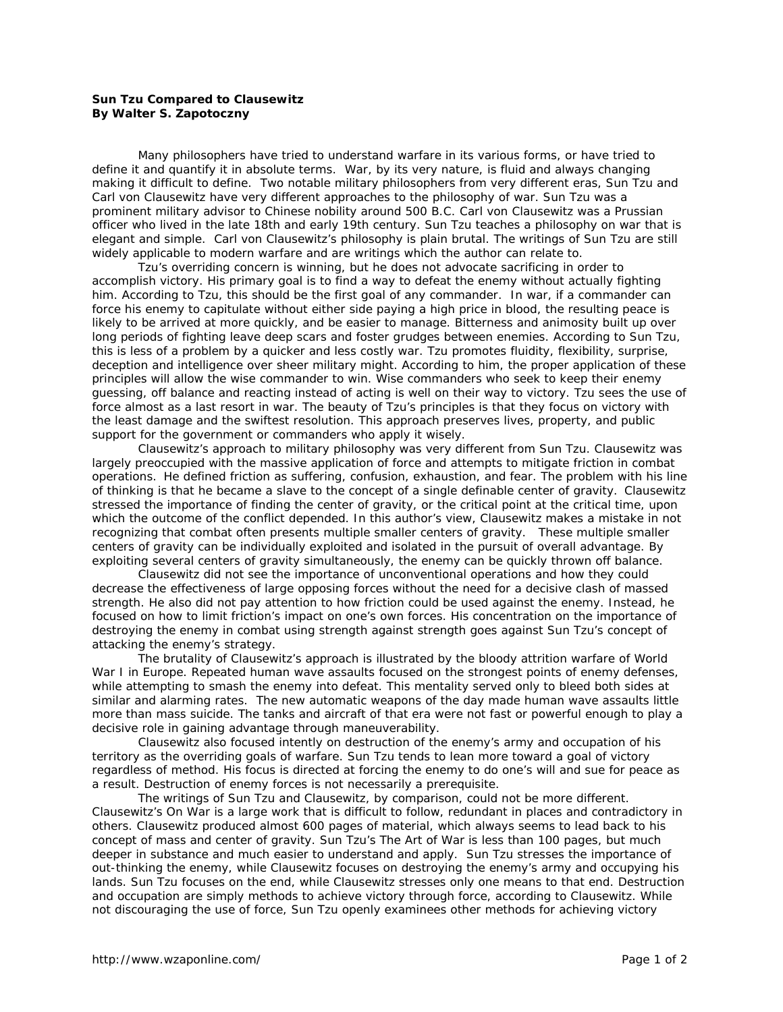## **Sun Tzu Compared to Clausewitz By Walter S. Zapotoczny**

 Many philosophers have tried to understand warfare in its various forms, or have tried to define it and quantify it in absolute terms. War, by its very nature, is fluid and always changing making it difficult to define. Two notable military philosophers from very different eras, Sun Tzu and Carl von Clausewitz have very different approaches to the philosophy of war. Sun Tzu was a prominent military advisor to Chinese nobility around 500 B.C. Carl von Clausewitz was a Prussian officer who lived in the late 18th and early 19th century. Sun Tzu teaches a philosophy on war that is elegant and simple. Carl von Clausewitz's philosophy is plain brutal. The writings of Sun Tzu are still widely applicable to modern warfare and are writings which the author can relate to.

Tzu's overriding concern is winning, but he does not advocate sacrificing in order to accomplish victory. His primary goal is to find a way to defeat the enemy without actually fighting him. According to Tzu, this should be the first goal of any commander. In war, if a commander can force his enemy to capitulate without either side paying a high price in blood, the resulting peace is likely to be arrived at more quickly, and be easier to manage. Bitterness and animosity built up over long periods of fighting leave deep scars and foster grudges between enemies. According to Sun Tzu, this is less of a problem by a quicker and less costly war. Tzu promotes fluidity, flexibility, surprise, deception and intelligence over sheer military might. According to him, the proper application of these principles will allow the wise commander to win. Wise commanders who seek to keep their enemy guessing, off balance and reacting instead of acting is well on their way to victory. Tzu sees the use of force almost as a last resort in war. The beauty of Tzu's principles is that they focus on victory with the least damage and the swiftest resolution. This approach preserves lives, property, and public support for the government or commanders who apply it wisely.

 Clausewitz's approach to military philosophy was very different from Sun Tzu. Clausewitz was largely preoccupied with the massive application of force and attempts to mitigate friction in combat operations. He defined friction as suffering, confusion, exhaustion, and fear. The problem with his line of thinking is that he became a slave to the concept of a single definable center of gravity. Clausewitz stressed the importance of finding the center of gravity, or the critical point at the critical time, upon which the outcome of the conflict depended. In this author's view, Clausewitz makes a mistake in not recognizing that combat often presents multiple smaller centers of gravity. These multiple smaller centers of gravity can be individually exploited and isolated in the pursuit of overall advantage. By exploiting several centers of gravity simultaneously, the enemy can be quickly thrown off balance.

Clausewitz did not see the importance of unconventional operations and how they could decrease the effectiveness of large opposing forces without the need for a decisive clash of massed strength. He also did not pay attention to how friction could be used against the enemy. Instead, he focused on how to limit friction's impact on one's own forces. His concentration on the importance of destroying the enemy in combat using strength against strength goes against Sun Tzu's concept of attacking the enemy's strategy.

The brutality of Clausewitz's approach is illustrated by the bloody attrition warfare of World War I in Europe. Repeated human wave assaults focused on the strongest points of enemy defenses, while attempting to smash the enemy into defeat. This mentality served only to bleed both sides at similar and alarming rates. The new automatic weapons of the day made human wave assaults little more than mass suicide. The tanks and aircraft of that era were not fast or powerful enough to play a decisive role in gaining advantage through maneuverability.

Clausewitz also focused intently on destruction of the enemy's army and occupation of his territory as the overriding goals of warfare. Sun Tzu tends to lean more toward a goal of victory regardless of method. His focus is directed at forcing the enemy to do one's will and sue for peace as a result. Destruction of enemy forces is not necessarily a prerequisite.

The writings of Sun Tzu and Clausewitz, by comparison, could not be more different. Clausewitz's *On War* is a large work that is difficult to follow, redundant in places and contradictory in others. Clausewitz produced almost 600 pages of material, which always seems to lead back to his concept of mass and center of gravity. Sun Tzu's *The Art of War* is less than 100 pages, but much deeper in substance and much easier to understand and apply. Sun Tzu stresses the importance of out-thinking the enemy, while Clausewitz focuses on destroying the enemy's army and occupying his lands. Sun Tzu focuses on the end, while Clausewitz stresses only one means to that end. Destruction and occupation are simply methods to achieve victory through force, according to Clausewitz. While not discouraging the use of force, Sun Tzu openly examinees other methods for achieving victory